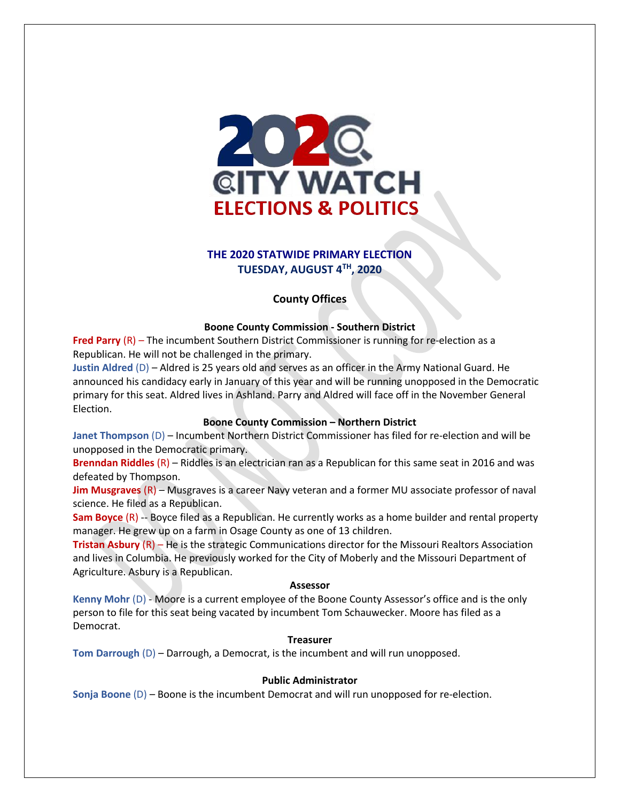

# **THE 2020 STATWIDE PRIMARY ELECTION TUESDAY, AUGUST 4 TH, 2020**

## **County Offices**

## **Boone County Commission - Southern District**

**Fred Parry** (R) – The incumbent Southern District Commissioner is running for re-election as a Republican. He will not be challenged in the primary.

**Justin Aldred** (D) – Aldred is 25 years old and serves as an officer in the Army National Guard. He announced his candidacy early in January of this year and will be running unopposed in the Democratic primary for this seat. Aldred lives in Ashland. Parry and Aldred will face off in the November General Election.

## **Boone County Commission – Northern District**

**Janet Thompson** (D) – Incumbent Northern District Commissioner has filed for re-election and will be unopposed in the Democratic primary.

**Brenndan Riddles** (R) – Riddles is an electrician ran as a Republican for this same seat in 2016 and was defeated by Thompson.

**Jim Musgraves** (R) – Musgraves is a career Navy veteran and a former MU associate professor of naval science. He filed as a Republican.

**Sam Boyce** (R) -- Boyce filed as a Republican. He currently works as a home builder and rental property manager. He grew up on a farm in Osage County as one of 13 children.

**Tristan Asbury** (R) – He is the strategic Communications director for the Missouri Realtors Association and lives in Columbia. He previously worked for the City of Moberly and the Missouri Department of Agriculture. Asbury is a Republican.

## **Assessor**

**Kenny Mohr** (D) - Moore is a current employee of the Boone County Assessor's office and is the only person to file for this seat being vacated by incumbent Tom Schauwecker. Moore has filed as a Democrat.

## **Treasurer**

**Tom Darrough** (D) – Darrough, a Democrat, is the incumbent and will run unopposed.

## **Public Administrator**

**Sonja Boone** (D) – Boone is the incumbent Democrat and will run unopposed for re-election.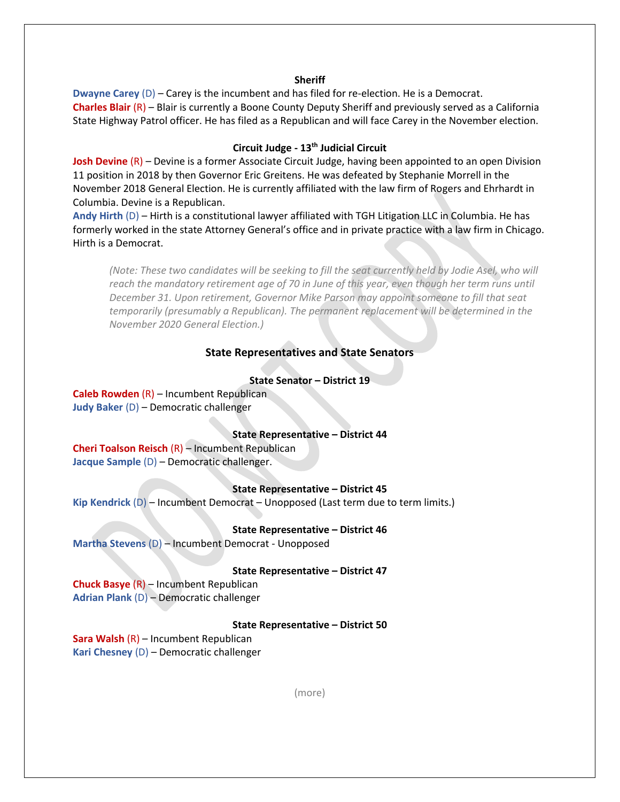### **Sheriff**

**Dwayne Carey** (D) – Carey is the incumbent and has filed for re-election. He is a Democrat. **Charles Blair** (R) – Blair is currently a Boone County Deputy Sheriff and previously served as a California State Highway Patrol officer. He has filed as a Republican and will face Carey in the November election.

## **Circuit Judge - 13th Judicial Circuit**

**Josh Devine** (R) – Devine is a former Associate Circuit Judge, having been appointed to an open Division 11 position in 2018 by then Governor Eric Greitens. He was defeated by Stephanie Morrell in the November 2018 General Election. He is currently affiliated with the law firm of Rogers and Ehrhardt in Columbia. Devine is a Republican.

**Andy Hirth** (D) – Hirth is a constitutional lawyer affiliated with TGH Litigation LLC in Columbia. He has formerly worked in the state Attorney General's office and in private practice with a law firm in Chicago. Hirth is a Democrat.

*(Note: These two candidates will be seeking to fill the seat currently held by Jodie Asel, who will reach the mandatory retirement age of 70 in June of this year, even though her term runs until December 31. Upon retirement, Governor Mike Parson may appoint someone to fill that seat temporarily (presumably a Republican). The permanent replacement will be determined in the November 2020 General Election.)*

## **State Representatives and State Senators**

### **State Senator – District 19**

**Caleb Rowden** (R) – Incumbent Republican **Judy Baker** (D) – Democratic challenger

### **State Representative – District 44**

**Cheri Toalson Reisch** (R) – Incumbent Republican **Jacque Sample** (D) – Democratic challenger.

### **State Representative – District 45**

**Kip Kendrick** (D) – Incumbent Democrat – Unopposed (Last term due to term limits.)

#### **State Representative – District 46**

**Martha Stevens** (D) – Incumbent Democrat - Unopposed

#### **State Representative – District 47**

**Chuck Basye** (R) – Incumbent Republican **Adrian Plank** (D) – Democratic challenger

#### **State Representative – District 50**

**Sara Walsh** (R) – Incumbent Republican **Kari Chesney** (D) – Democratic challenger

(more)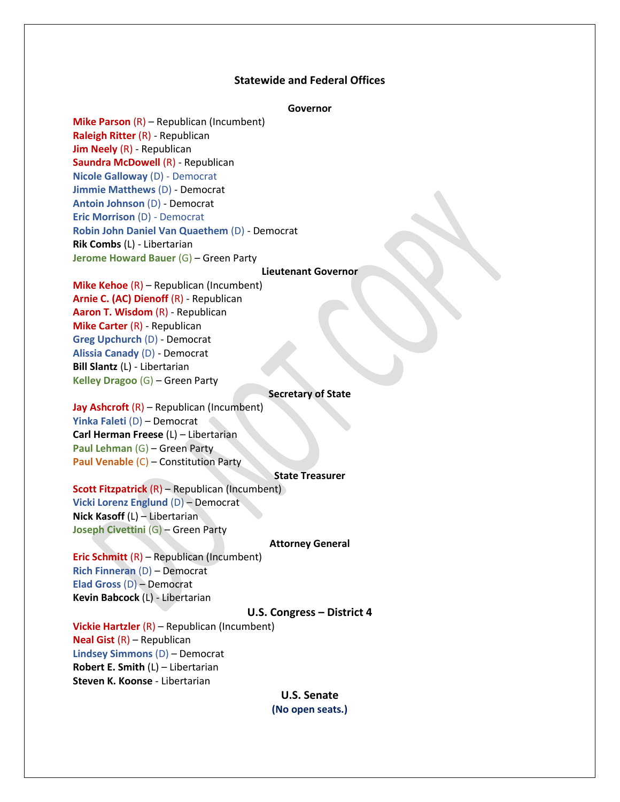## **Statewide and Federal Offices**

### **Governor**

**Mike Parson** (R) – Republican (Incumbent) **Raleigh Ritter** (R) - Republican **Jim Neely** (R) - Republican **Saundra McDowell** (R) - Republican **Nicole Galloway** (D) - Democrat **Jimmie Matthews** (D) - Democrat **Antoin Johnson** (D) - Democrat **Eric Morrison** (D) - Democrat **Robin John Daniel Van Quaethem** (D) - Democrat **Rik Combs** (L) - Libertarian **Jerome Howard Bauer** (G) – Green Party

#### **Lieutenant Governor**

# **Mike Kehoe** (R) – Republican (Incumbent) **Arnie C. (AC) Dienoff** (R) - Republican **Aaron T. Wisdom** (R) - Republican **Mike Carter** (R) - Republican **Greg Upchurch** (D) - Democrat **Alissia Canady** (D) - Democrat **Bill Slantz** (L) - Libertarian **Kelley Dragoo** (G) – Green Party

### **Secretary of State**

**Jay Ashcroft** (R) – Republican (Incumbent) **Yinka Faleti** (D) – Democrat **Carl Herman Freese** (L) – Libertarian **Paul Lehman** (G) – Green Party **Paul Venable** (C) – Constitution Party

#### **State Treasurer**

**Scott Fitzpatrick** (R) – Republican (Incumbent) **Vicki Lorenz Englund** (D) – Democrat **Nick Kasoff** (L) – Libertarian **Joseph Civettini** (G) – Green Party

### **Attorney General**

**Eric Schmitt** (R) – Republican (Incumbent) **Rich Finneran** (D) – Democrat **Elad Gross** (D) – Democrat **Kevin Babcock** (L) - Libertarian

#### **U.S. Congress – District 4**

**Vickie Hartzler** (R) – Republican (Incumbent) **Neal Gist** (R) – Republican **Lindsey Simmons** (D) – Democrat **Robert E. Smith** (L) – Libertarian **Steven K. Koonse** - Libertarian

> **U.S. Senate (No open seats.)**